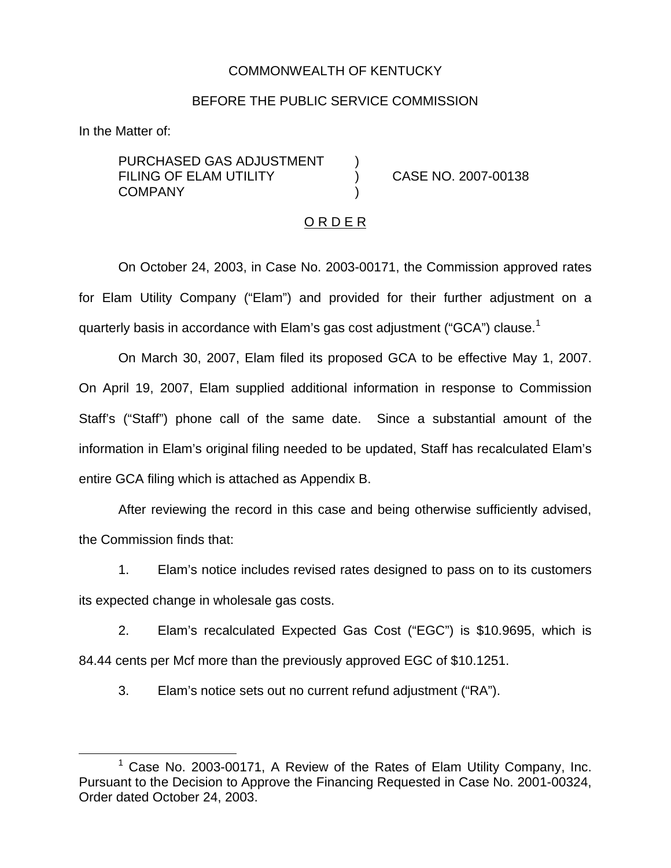## COMMONWEALTH OF KENTUCKY

## BEFORE THE PUBLIC SERVICE COMMISSION

In the Matter of:

PURCHASED GAS ADJUSTMENT FILING OF ELAM UTILITY ) CASE NO. 2007-00138 **COMPANY** 

### O R D E R

On October 24, 2003, in Case No. 2003-00171, the Commission approved rates for Elam Utility Company ("Elam") and provided for their further adjustment on a quarterly basis in accordance with Elam's gas cost adjustment ("GCA") clause.<sup>1</sup>

On March 30, 2007, Elam filed its proposed GCA to be effective May 1, 2007. On April 19, 2007, Elam supplied additional information in response to Commission Staff's ("Staff") phone call of the same date. Since a substantial amount of the information in Elam's original filing needed to be updated, Staff has recalculated Elam's entire GCA filing which is attached as Appendix B.

After reviewing the record in this case and being otherwise sufficiently advised, the Commission finds that:

1. Elam's notice includes revised rates designed to pass on to its customers its expected change in wholesale gas costs.

2. Elam's recalculated Expected Gas Cost ("EGC") is \$10.9695, which is 84.44 cents per Mcf more than the previously approved EGC of \$10.1251.

3. Elam's notice sets out no current refund adjustment ("RA").

 $1$  Case No. 2003-00171, A Review of the Rates of Elam Utility Company, Inc. Pursuant to the Decision to Approve the Financing Requested in Case No. 2001-00324, Order dated October 24, 2003.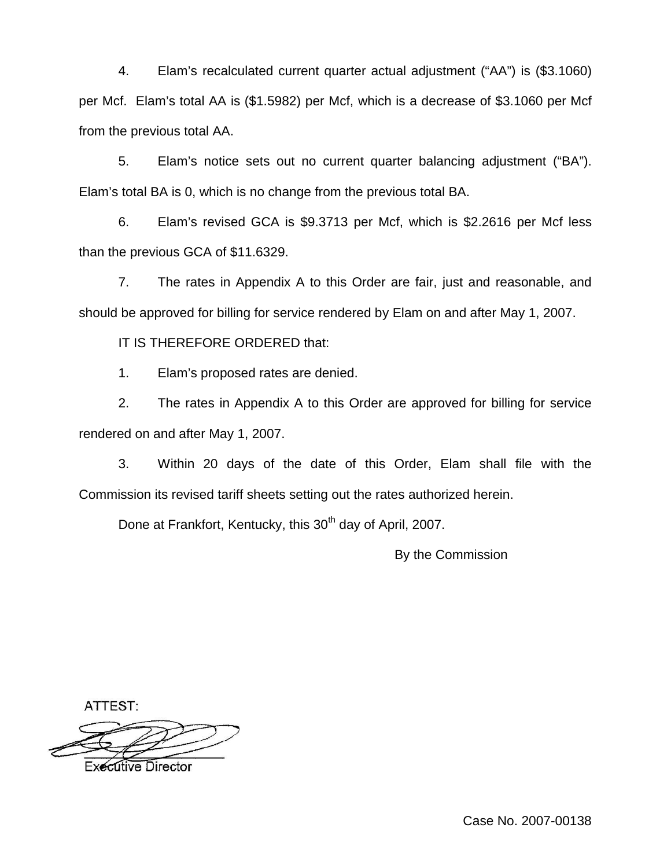4. Elam's recalculated current quarter actual adjustment ("AA") is (\$3.1060) per Mcf. Elam's total AA is (\$1.5982) per Mcf, which is a decrease of \$3.1060 per Mcf from the previous total AA.

5. Elam's notice sets out no current quarter balancing adjustment ("BA"). Elam's total BA is 0, which is no change from the previous total BA.

6. Elam's revised GCA is \$9.3713 per Mcf, which is \$2.2616 per Mcf less than the previous GCA of \$11.6329.

7. The rates in Appendix A to this Order are fair, just and reasonable, and should be approved for billing for service rendered by Elam on and after May 1, 2007.

IT IS THEREFORE ORDERED that:

1. Elam's proposed rates are denied.

2. The rates in Appendix A to this Order are approved for billing for service rendered on and after May 1, 2007.

3. Within 20 days of the date of this Order, Elam shall file with the Commission its revised tariff sheets setting out the rates authorized herein.

Done at Frankfort, Kentucky, this 30<sup>th</sup> day of April, 2007.

By the Commission

ATTEST:

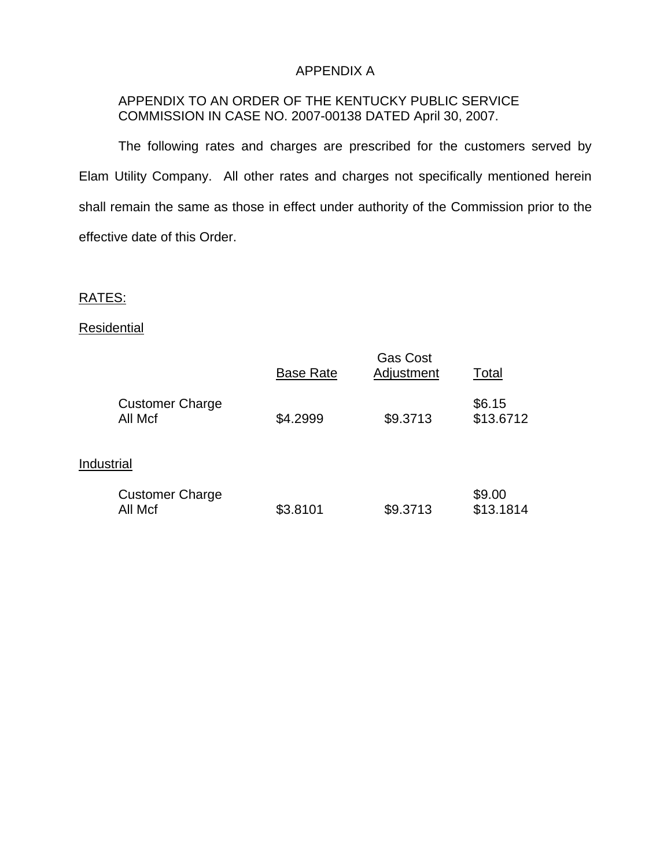## APPENDIX A

## APPENDIX TO AN ORDER OF THE KENTUCKY PUBLIC SERVICE COMMISSION IN CASE NO. 2007-00138 DATED April 30, 2007.

The following rates and charges are prescribed for the customers served by Elam Utility Company. All other rates and charges not specifically mentioned herein shall remain the same as those in effect under authority of the Commission prior to the effective date of this Order.

# RATES:

## **Residential**

|                                   | <b>Base Rate</b> | <b>Gas Cost</b><br>Adjustment | Total               |
|-----------------------------------|------------------|-------------------------------|---------------------|
| <b>Customer Charge</b><br>All Mcf | \$4.2999         | \$9.3713                      | \$6.15<br>\$13.6712 |
| Industrial                        |                  |                               |                     |
| <b>Customer Charge</b><br>All Mcf | \$3.8101         | \$9.3713                      | \$9.00<br>\$13.1814 |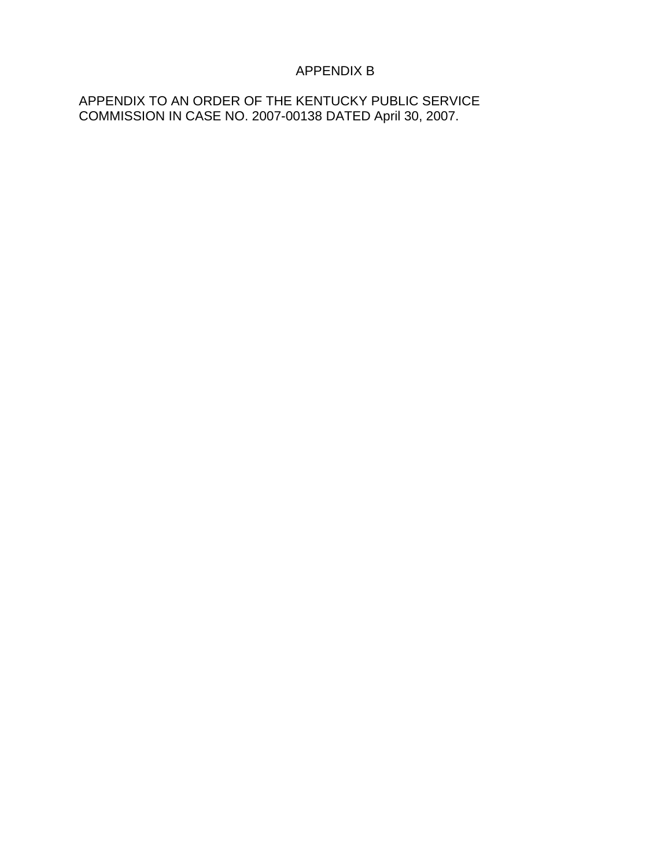# APPENDIX B

APPENDIX TO AN ORDER OF THE KENTUCKY PUBLIC SERVICE COMMISSION IN CASE NO. 2007-00138 DATED April 30, 2007.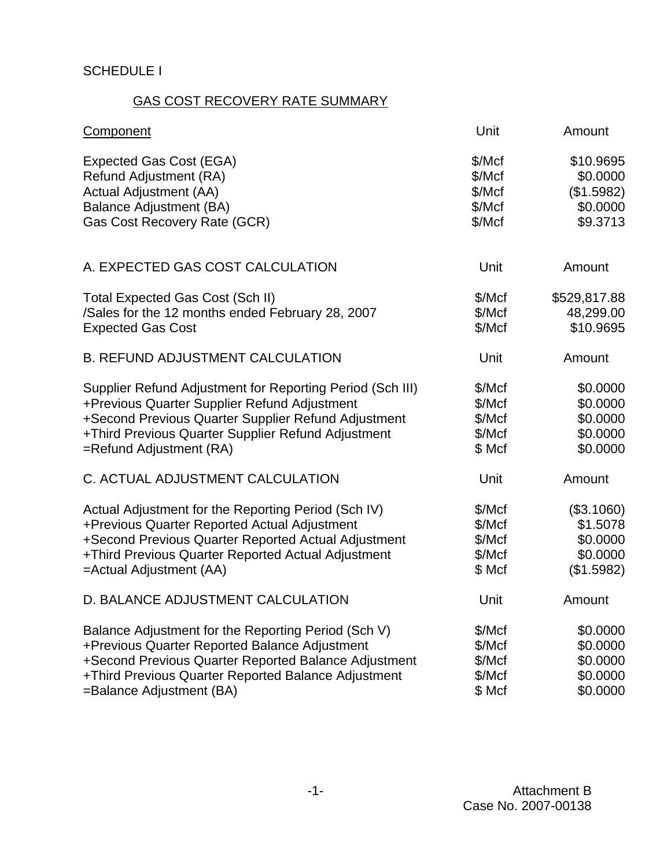# SCHEDULE I

# GAS COST RECOVERY RATE SUMMARY

| <b>Component</b>                                          | Unit   | Amount       |
|-----------------------------------------------------------|--------|--------------|
| <b>Expected Gas Cost (EGA)</b>                            | \$/Mcf | \$10.9695    |
| Refund Adjustment (RA)                                    | \$/Mcf | \$0.0000     |
| Actual Adjustment (AA)                                    | \$/Mcf | (\$1.5982)   |
| <b>Balance Adjustment (BA)</b>                            | \$/Mcf | \$0.0000     |
| Gas Cost Recovery Rate (GCR)                              | \$/Mcf | \$9.3713     |
| A. EXPECTED GAS COST CALCULATION                          | Unit   | Amount       |
| <b>Total Expected Gas Cost (Sch II)</b>                   | \$/Mcf | \$529,817.88 |
| /Sales for the 12 months ended February 28, 2007          | \$/Mcf | 48,299.00    |
| <b>Expected Gas Cost</b>                                  | \$/Mcf | \$10.9695    |
| <b>B. REFUND ADJUSTMENT CALCULATION</b>                   | Unit   | Amount       |
| Supplier Refund Adjustment for Reporting Period (Sch III) | \$/Mcf | \$0.0000     |
| +Previous Quarter Supplier Refund Adjustment              | \$/Mcf | \$0.0000     |
| +Second Previous Quarter Supplier Refund Adjustment       | \$/Mcf | \$0.0000     |
| +Third Previous Quarter Supplier Refund Adjustment        | \$/Mcf | \$0.0000     |
| $=$ Refund Adjustment (RA)                                | \$ Mcf | \$0.0000     |
| C. ACTUAL ADJUSTMENT CALCULATION                          | Unit   | Amount       |
| Actual Adjustment for the Reporting Period (Sch IV)       | \$/Mcf | (\$3.1060)   |
| +Previous Quarter Reported Actual Adjustment              | \$/Mcf | \$1.5078     |
| +Second Previous Quarter Reported Actual Adjustment       | \$/Mcf | \$0.0000     |
| +Third Previous Quarter Reported Actual Adjustment        | \$/Mcf | \$0.0000     |
| =Actual Adjustment (AA)                                   | \$ Mcf | (\$1.5982)   |
| D. BALANCE ADJUSTMENT CALCULATION                         | Unit   | Amount       |
| Balance Adjustment for the Reporting Period (Sch V)       | \$/Mcf | \$0.0000     |
| +Previous Quarter Reported Balance Adjustment             | \$/Mcf | \$0.0000     |
| +Second Previous Quarter Reported Balance Adjustment      | \$/Mcf | \$0.0000     |
| +Third Previous Quarter Reported Balance Adjustment       | \$/Mcf | \$0.0000     |
| =Balance Adjustment (BA)                                  | \$ Mcf | \$0.0000     |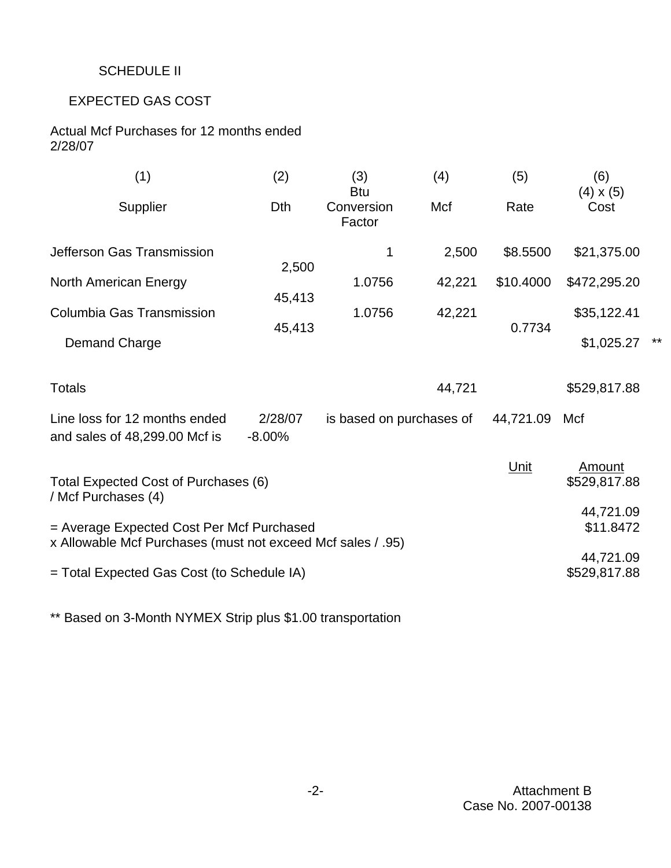# SCHEDULE II

# EXPECTED GAS COST

Actual Mcf Purchases for 12 months ended 2/28/07

| (1)                                                                                                      | (2)                 | (3)<br>(4)<br><b>Btu</b>  |        | (5)       | (6)<br>$(4) \times (5)$ |  |
|----------------------------------------------------------------------------------------------------------|---------------------|---------------------------|--------|-----------|-------------------------|--|
| Supplier                                                                                                 | Dth                 | Conversion<br>Factor      | Mcf    | Rate      | Cost                    |  |
| Jefferson Gas Transmission                                                                               | 2,500               | 1                         | 2,500  | \$8.5500  | \$21,375.00             |  |
| North American Energy                                                                                    | 45,413              | 1.0756                    | 42,221 | \$10.4000 | \$472,295.20            |  |
| Columbia Gas Transmission                                                                                | 45,413              | 1.0756                    | 42,221 | 0.7734    | \$35,122.41             |  |
| Demand Charge                                                                                            |                     |                           |        |           | \$1,025.27              |  |
| <b>Totals</b>                                                                                            |                     |                           | 44,721 |           | \$529,817.88            |  |
| Line loss for 12 months ended<br>and sales of 48,299.00 Mcf is                                           | 2/28/07<br>$-8.00%$ | is based on purchases of  |        | 44,721.09 | Mcf                     |  |
| Total Expected Cost of Purchases (6)<br>/ Mcf Purchases (4)                                              |                     |                           |        | Unit      | Amount<br>\$529,817.88  |  |
| = Average Expected Cost Per Mcf Purchased<br>x Allowable Mcf Purchases (must not exceed Mcf sales / .95) |                     | 44,721.09<br>\$11.8472    |        |           |                         |  |
| = Total Expected Gas Cost (to Schedule IA)                                                               |                     | 44,721.09<br>\$529,817.88 |        |           |                         |  |

\*\* Based on 3-Month NYMEX Strip plus \$1.00 transportation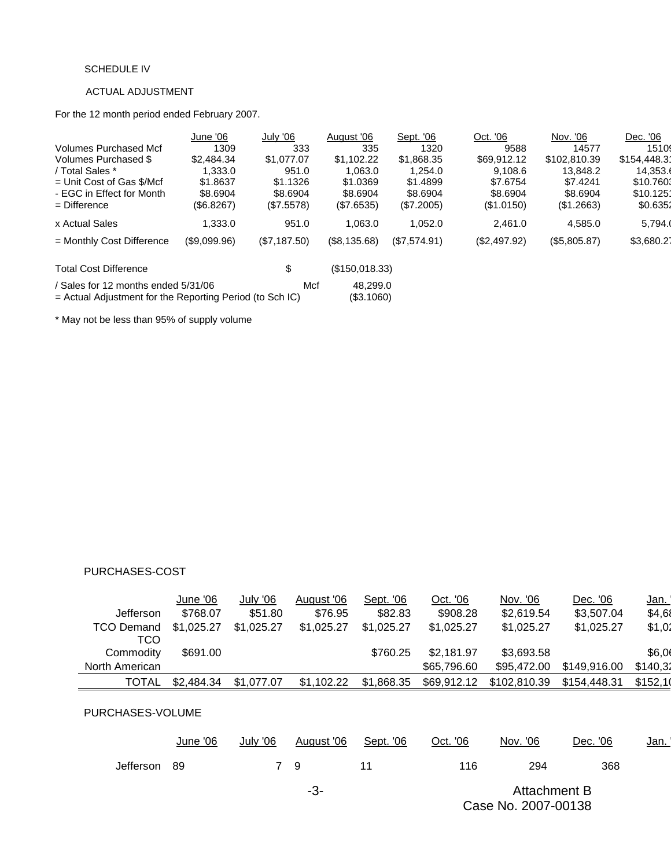#### SCHEDULE IV

### ACTUAL ADJUSTMENT

For the 12 month period ended February 2007.

| June '06                            |              |                                                            | Sept. '06    | Oct. '06                                 |              | Dec. '06             |
|-------------------------------------|--------------|------------------------------------------------------------|--------------|------------------------------------------|--------------|----------------------|
| 1309                                | 333          | 335                                                        | 1320         | 9588                                     | 14577        | 1510                 |
| \$2,484.34                          | \$1,077.07   | \$1.102.22                                                 | \$1,868.35   | \$69.912.12                              | \$102,810.39 | \$154,448.31         |
| 1.333.0                             | 951.0        | 1,063.0                                                    | 1.254.0      | 9.108.6                                  | 13,848.2     | 14,353.              |
| \$1,8637                            | \$1.1326     | \$1.0369                                                   | \$1.4899     | \$7.6754                                 | \$7.4241     | \$10.760             |
| \$8.6904                            | \$8.6904     | \$8.6904                                                   | \$8.6904     | \$8.6904                                 | \$8.6904     | \$10.125             |
| (\$6.8267)                          | (\$7.5578)   | (S7.6535)                                                  | (S7.2005)    | (S1.0150)                                | (S1.2663)    | \$0.6351             |
| 1,333.0                             | 951.0        | 1.063.0                                                    | 1.052.0      | 2.461.0                                  | 4.585.0      | 5,794.               |
| (\$9,099.96)                        | (\$7,187.50) | (\$8,135.68)                                               | (\$7,574.91) | (\$2,497.92)                             | (\$5,805.87) | \$3,680.27           |
|                                     | \$           |                                                            |              |                                          |              |                      |
| / Sales for 12 months ended 5/31/06 | Mcf          |                                                            |              |                                          |              |                      |
|                                     |              | $=$ Actual Adjustment for the Reporting Period (to Sch IC) | August '06   | (\$150,018.33)<br>48.299.0<br>(\$3.1060) |              | July '06<br>Nov. '06 |

\* May not be less than 95% of supply volume

#### PURCHASES-COST

|                   | June '06   | July '06   | August '06 | Sept. '06  | Oct. '06    | Nov. '06     | Dec. '06     | <u>Jan.</u> |
|-------------------|------------|------------|------------|------------|-------------|--------------|--------------|-------------|
| Jefferson         | \$768.07   | \$51.80    | \$76.95    | \$82.83    | \$908.28    | \$2,619.54   | \$3,507.04   | \$4,68      |
| <b>TCO Demand</b> | \$1,025.27 | \$1,025.27 | \$1,025.27 | \$1.025.27 | \$1,025.27  | \$1,025.27   | \$1,025.27   | \$1,02      |
| TCO               |            |            |            |            |             |              |              |             |
| Commodity         | \$691.00   |            |            | \$760.25   | \$2,181.97  | \$3,693.58   |              | \$6,0       |
| North American    |            |            |            |            | \$65,796,60 | \$95,472,00  | \$149.916.00 | \$140,32    |
| <b>TOTAL</b>      | \$2,484.34 | \$1,077.07 | \$1,102.22 | \$1,868.35 | \$69,912.12 | \$102,810.39 | \$154,448.31 | \$152,10    |

## PURCHASES-VOLUME

|              | June '06 | July '06 | August '06 | Sept. '06 | Oct. '06 | Nov. '06     | Dec. '06 | <u>Jan. I</u> |
|--------------|----------|----------|------------|-----------|----------|--------------|----------|---------------|
| Jefferson 89 |          |          | - Q        |           | 116      | 294          | 368      |               |
|              |          |          | -3-        |           |          | Attachment B |          |               |

Case No. 2007-00138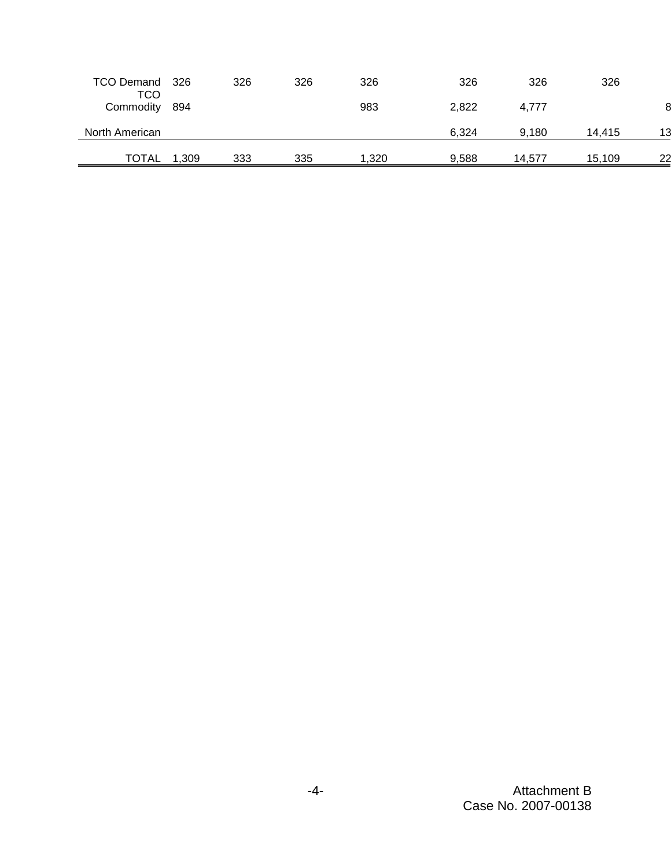| TCO Demand 326<br>TCO |       | 326 | 326 | 326   | 326   | 326    | 326    |    |
|-----------------------|-------|-----|-----|-------|-------|--------|--------|----|
| Commodity             | 894   |     |     | 983   | 2,822 | 4,777  |        |    |
| North American        |       |     |     |       | 6.324 | 9.180  | 14.415 | 13 |
| TOTAL                 | 1,309 | 333 | 335 | 1.320 | 9,588 | 14.577 | 15,109 | 22 |